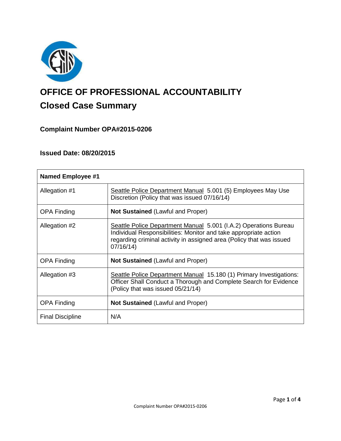

# **OFFICE OF PROFESSIONAL ACCOUNTABILITY Closed Case Summary**

# **Complaint Number OPA#2015-0206**

# **Issued Date: 08/20/2015**

| <b>Named Employee #1</b> |                                                                                                                                                                                                                          |
|--------------------------|--------------------------------------------------------------------------------------------------------------------------------------------------------------------------------------------------------------------------|
| Allegation #1            | Seattle Police Department Manual 5.001 (5) Employees May Use<br>Discretion (Policy that was issued 07/16/14)                                                                                                             |
| <b>OPA Finding</b>       | <b>Not Sustained (Lawful and Proper)</b>                                                                                                                                                                                 |
| Allegation #2            | Seattle Police Department Manual 5.001 (I.A.2) Operations Bureau<br>Individual Responsibilities: Monitor and take appropriate action<br>regarding criminal activity in assigned area (Policy that was issued<br>07/16/14 |
| <b>OPA Finding</b>       | Not Sustained (Lawful and Proper)                                                                                                                                                                                        |
| Allegation #3            | Seattle Police Department Manual 15.180 (1) Primary Investigations:<br>Officer Shall Conduct a Thorough and Complete Search for Evidence<br>(Policy that was issued 05/21/14)                                            |
| <b>OPA Finding</b>       | <b>Not Sustained (Lawful and Proper)</b>                                                                                                                                                                                 |
| <b>Final Discipline</b>  | N/A                                                                                                                                                                                                                      |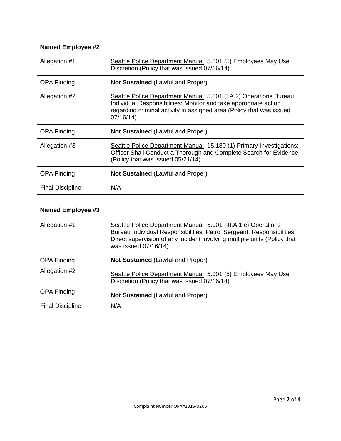| <b>Named Employee #2</b> |                                                                                                                                                                                                                           |
|--------------------------|---------------------------------------------------------------------------------------------------------------------------------------------------------------------------------------------------------------------------|
| Allegation #1            | Seattle Police Department Manual 5.001 (5) Employees May Use<br>Discretion (Policy that was issued 07/16/14)                                                                                                              |
| <b>OPA Finding</b>       | <b>Not Sustained (Lawful and Proper)</b>                                                                                                                                                                                  |
| Allegation #2            | Seattle Police Department Manual 5.001 (I.A.2) Operations Bureau<br>Individual Responsibilities: Monitor and take appropriate action<br>regarding criminal activity in assigned area (Policy that was issued<br>07/16/14) |
| <b>OPA Finding</b>       | <b>Not Sustained (Lawful and Proper)</b>                                                                                                                                                                                  |
| Allegation #3            | Seattle Police Department Manual 15.180 (1) Primary Investigations:<br>Officer Shall Conduct a Thorough and Complete Search for Evidence<br>(Policy that was issued 05/21/14)                                             |
| <b>OPA Finding</b>       | <b>Not Sustained (Lawful and Proper)</b>                                                                                                                                                                                  |
| <b>Final Discipline</b>  | N/A                                                                                                                                                                                                                       |

| Named Employee #3       |                                                                                                                                                                                                                                             |
|-------------------------|---------------------------------------------------------------------------------------------------------------------------------------------------------------------------------------------------------------------------------------------|
| Allegation #1           | Seattle Police Department Manual 5.001 (III.A.1.c) Operations<br>Bureau Individual Responsibilities: Patrol Sergeant; Responsibilities;<br>Direct supervision of any incident involving multiple units (Policy that<br>was issued 07/16/14) |
| <b>OPA Finding</b>      | <b>Not Sustained (Lawful and Proper)</b>                                                                                                                                                                                                    |
| Allegation #2           | Seattle Police Department Manual 5.001 (5) Employees May Use<br>Discretion (Policy that was issued 07/16/14)                                                                                                                                |
| <b>OPA Finding</b>      | <b>Not Sustained (Lawful and Proper)</b>                                                                                                                                                                                                    |
| <b>Final Discipline</b> | N/A                                                                                                                                                                                                                                         |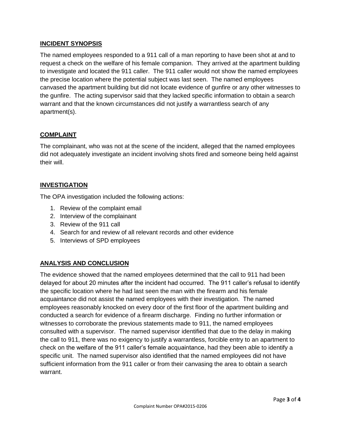# **INCIDENT SYNOPSIS**

The named employees responded to a 911 call of a man reporting to have been shot at and to request a check on the welfare of his female companion. They arrived at the apartment building to investigate and located the 911 caller. The 911 caller would not show the named employees the precise location where the potential subject was last seen. The named employees canvased the apartment building but did not locate evidence of gunfire or any other witnesses to the gunfire. The acting supervisor said that they lacked specific information to obtain a search warrant and that the known circumstances did not justify a warrantless search of any apartment(s).

# **COMPLAINT**

The complainant, who was not at the scene of the incident, alleged that the named employees did not adequately investigate an incident involving shots fired and someone being held against their will.

# **INVESTIGATION**

The OPA investigation included the following actions:

- 1. Review of the complaint email
- 2. Interview of the complainant
- 3. Review of the 911 call
- 4. Search for and review of all relevant records and other evidence
- 5. Interviews of SPD employees

# **ANALYSIS AND CONCLUSION**

The evidence showed that the named employees determined that the call to 911 had been delayed for about 20 minutes after the incident had occurred. The 911 caller's refusal to identify the specific location where he had last seen the man with the firearm and his female acquaintance did not assist the named employees with their investigation. The named employees reasonably knocked on every door of the first floor of the apartment building and conducted a search for evidence of a firearm discharge. Finding no further information or witnesses to corroborate the previous statements made to 911, the named employees consulted with a supervisor. The named supervisor identified that due to the delay in making the call to 911, there was no exigency to justify a warrantless, forcible entry to an apartment to check on the welfare of the 911 caller's female acquaintance, had they been able to identify a specific unit. The named supervisor also identified that the named employees did not have sufficient information from the 911 caller or from their canvasing the area to obtain a search warrant.